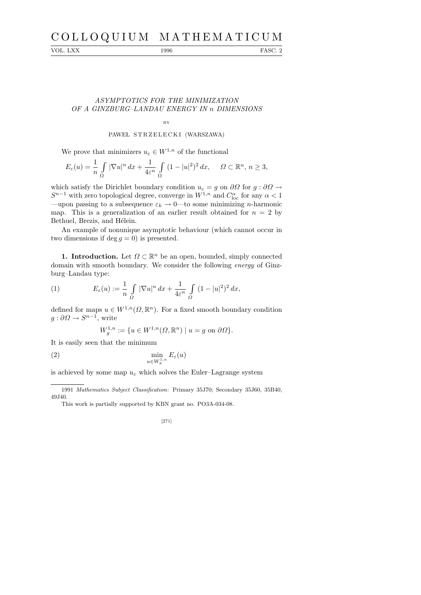# C O L L O Q U I U M M A T H E M A T I C U M

VOL. LXX 1996 FASC. 2

## ASYMPTOTICS FOR THE MINIMIZATION OF A GINZBURG–LANDAU ENERGY IN n DIMENSIONS

BY

### PAWEL STRZELECKI (WARSZAWA)

We prove that minimizers  $u_{\varepsilon} \in W^{1,n}$  of the functional

$$
E_{\varepsilon}(u) = \frac{1}{n} \int_{\Omega} |\nabla u|^n dx + \frac{1}{4\varepsilon^n} \int_{\Omega} (1 - |u|^2)^2 dx, \quad \Omega \subset \mathbb{R}^n, n \ge 3,
$$

which satisfy the Dirichlet boundary condition  $u_{\varepsilon} = g$  on  $\partial\Omega$  for  $g : \partial\Omega \to$  $S^{n-1}$  with zero topological degree, converge in  $W^{1,n}$  and  $C_{\text{loc}}^{\alpha}$  for any  $\alpha < 1$ —upon passing to a subsequence  $\varepsilon_k \to 0$ —to some minimizing *n*-harmonic map. This is a generalization of an earlier result obtained for  $n = 2$  by Bethuel, Brezis, and Hélein.

An example of nonunique asymptotic behaviour (which cannot occur in two dimensions if deg  $q = 0$ ) is presented.

**1. Introduction.** Let  $\Omega \subset \mathbb{R}^n$  be an open, bounded, simply connected domain with smooth boundary. We consider the following energy of Ginzburg–Landau type:

(1) 
$$
E_{\varepsilon}(u) := \frac{1}{n} \int_{\Omega} |\nabla u|^n dx + \frac{1}{4\varepsilon^n} \int_{\Omega} (1 - |u|^2)^2 dx,
$$

defined for maps  $u \in W^{1,n}(\Omega,\mathbb{R}^n)$ . For a fixed smooth boundary condition  $g: \partial\Omega \to S^{n-1}$ , write

$$
W_g^{1,n} := \{ u \in W^{1,n}(\Omega, \mathbb{R}^n) \mid u = g \text{ on } \partial\Omega \}.
$$

It is easily seen that the minimum

$$
\min_{u \in W_g^{1,n}} E_{\varepsilon}(u)
$$

is achieved by some map  $u_{\varepsilon}$  which solves the Euler–Lagrange system

<sup>1991</sup> *Mathematics Subject Classification*: Primary 35J70; Secondary 35J60, 35B40, 49J40.

This work is partially supported by KBN grant no. PO3A-034-08.

<sup>[271]</sup>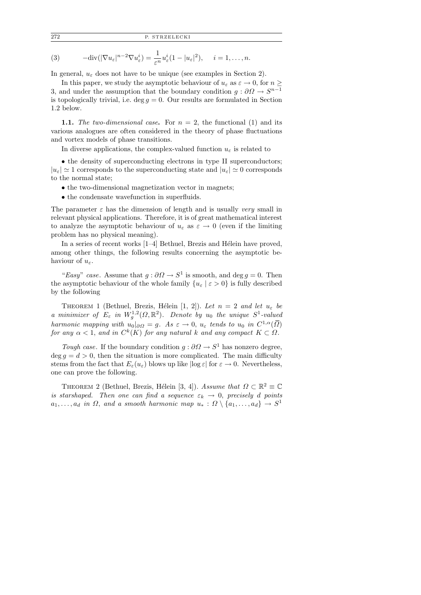272 P. STRZELECKI

(3) 
$$
-\text{div}(|\nabla u_{\varepsilon}|^{n-2}\nabla u_{\varepsilon}^{i})=\frac{1}{\varepsilon^{n}}u_{\varepsilon}^{i}(1-|u_{\varepsilon}|^{2}), \quad i=1,\ldots,n.
$$

In general,  $u_{\varepsilon}$  does not have to be unique (see examples in Section 2).

In this paper, we study the asymptotic behaviour of  $u_{\varepsilon}$  as  $\varepsilon \to 0$ , for  $n \geq$ 3, and under the assumption that the boundary condition  $g: \partial\Omega \to S^{n-1}$ is topologically trivial, i.e. deg  $g = 0$ . Our results are formulated in Section 1.2 below.

**1.1.** The two-dimensional case. For  $n = 2$ , the functional (1) and its various analogues are often considered in the theory of phase fluctuations and vortex models of phase transitions.

In diverse applications, the complex-valued function  $u_{\varepsilon}$  is related to

• the density of superconducting electrons in type II superconductors;  $|u_{\varepsilon}| \simeq 1$  corresponds to the superconducting state and  $|u_{\varepsilon}| \simeq 0$  corresponds to the normal state;

- the two-dimensional magnetization vector in magnets;
- the condensate wavefunction in superfluids.

The parameter  $\varepsilon$  has the dimension of length and is usually very small in relevant physical applications. Therefore, it is of great mathematical interest to analyze the asymptotic behaviour of  $u_{\varepsilon}$  as  $\varepsilon \to 0$  (even if the limiting problem has no physical meaning).

In a series of recent works  $[1-4]$  Bethuel, Brezis and Hélein have proved, among other things, the following results concerning the asymptotic behaviour of  $u_{\varepsilon}$ .

"Easy" case. Assume that  $g : \partial \Omega \to S^1$  is smooth, and deg  $g = 0$ . Then the asymptotic behaviour of the whole family  $\{u_{\varepsilon} \mid \varepsilon > 0\}$  is fully described by the following

THEOREM 1 (Bethuel, Brezis, Hélein [1, 2]). Let  $n = 2$  and let  $u_{\varepsilon}$  be a minimizer of  $E_{\varepsilon}$  in  $W_g^{1,2}(\Omega,\mathbb{R}^2)$ . Denote by  $u_0$  the unique  $S^1$ -valued harmonic mapping with  $u_0|_{\partial\Omega} = g$ . As  $\varepsilon \to 0$ ,  $u_{\varepsilon}$  tends to  $u_0$  in  $C^{1,\alpha}(\overline{\Omega})$ for any  $\alpha < 1$ , and in  $C^k(K)$  for any natural k and any compact  $K \subset \Omega$ .

Tough case. If the boundary condition  $g : \partial \Omega \to S^1$  has nonzero degree,  $\deg g = d > 0$ , then the situation is more complicated. The main difficulty stems from the fact that  $E_{\varepsilon}(u_{\varepsilon})$  blows up like  $|\log \varepsilon|$  for  $\varepsilon \to 0$ . Nevertheless, one can prove the following.

THEOREM 2 (Bethuel, Brezis, Hélein [3, 4]). Assume that  $\Omega \subset \mathbb{R}^2 \equiv \mathbb{C}$ is starshaped. Then one can find a sequence  $\varepsilon_k \to 0$ , precisely d points  $a_1, \ldots, a_d$  in  $\Omega$ , and a smooth harmonic map  $u_* : \Omega \setminus \{a_1, \ldots, a_d\} \to S^1$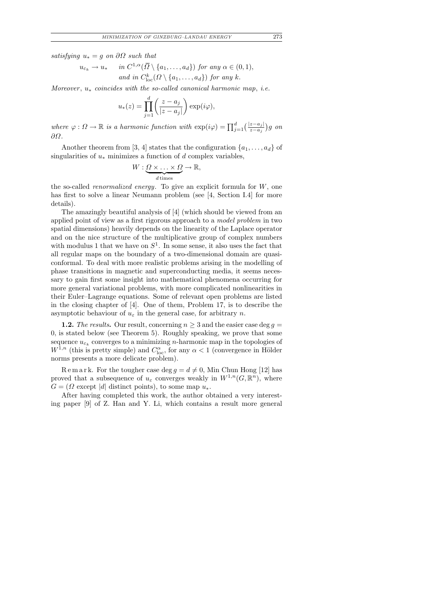satisfying  $u_* = g$  on  $\partial\Omega$  such that

$$
u_{\varepsilon_k} \to u_* \quad \text{in } C^{1,\alpha}(\overline{\Omega} \setminus \{a_1,\ldots,a_d\}) \text{ for any } \alpha \in (0,1),
$$
  
and in  $C^k_{\text{loc}}(\Omega \setminus \{a_1,\ldots,a_d\})$  for any k.

Moreover,  $u_*$  coincides with the so-called canonical harmonic map, i.e.

$$
u_*(z) = \prod_{j=1}^d \left(\frac{z - a_j}{|z - a_j|}\right) \exp(i\varphi),
$$

where  $\varphi: \Omega \to \mathbb{R}$  is a harmonic function with  $\exp(i\varphi) = \prod_{j=1}^d \left(\frac{|z-a_j|}{z-a_j}\right)g$  on ∂Ω.

Another theorem from [3, 4] states that the configuration  $\{a_1, \ldots, a_d\}$  of singularities of  $u_*$  minimizes a function of d complex variables,

$$
W:\underbrace{\Omega\times\ldots\times\Omega}_{d\text{ times}}\to\mathbb{R},
$$

the so-called renormalized energy. To give an explicit formula for W, one has first to solve a linear Neumann problem (see [4, Section I.4] for more details).

The amazingly beautiful analysis of [4] (which should be viewed from an applied point of view as a first rigorous approach to a model problem in two spatial dimensions) heavily depends on the linearity of the Laplace operator and on the nice structure of the multiplicative group of complex numbers with modulus 1 that we have on  $S^1$ . In some sense, it also uses the fact that all regular maps on the boundary of a two-dimensional domain are quasiconformal. To deal with more realistic problems arising in the modelling of phase transitions in magnetic and superconducting media, it seems necessary to gain first some insight into mathematical phenomena occurring for more general variational problems, with more complicated nonlinearities in their Euler–Lagrange equations. Some of relevant open problems are listed in the closing chapter of [4]. One of them, Problem 17, is to describe the asymptotic behaviour of  $u_{\varepsilon}$  in the general case, for arbitrary n.

**1.2.** The results. Our result, concerning  $n \geq 3$  and the easier case deg  $q =$ 0, is stated below (see Theorem 5). Roughly speaking, we prove that some sequence  $u_{\varepsilon_k}$  converges to a minimizing *n*-harmonic map in the topologies of  $W^{1,n}$  (this is pretty simple) and  $C^{\alpha}_{\text{loc}}$ , for any  $\alpha < 1$  (convergence in Hölder norms presents a more delicate problem).

R e m a r k. For the tougher case deg  $g = d \neq 0$ , Min Chun Hong [12] has proved that a subsequence of  $u_{\varepsilon}$  converges weakly in  $W^{1,n}(G,\mathbb{R}^n)$ , where  $G = (\Omega \text{ except } |d| \text{ distinct points}),$  to some map  $u_*$ .

After having completed this work, the author obtained a very interesting paper [9] of Z. Han and Y. Li, which contains a result more general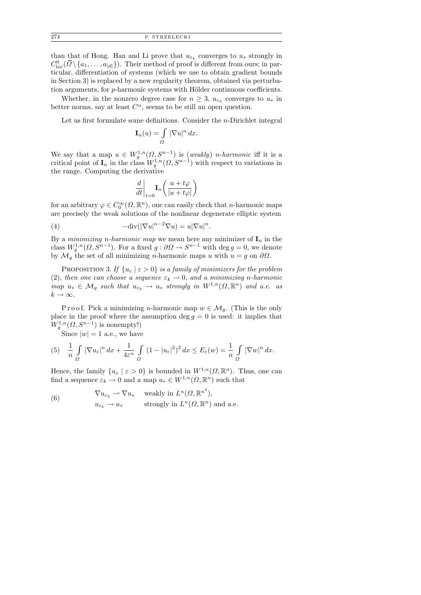than that of Hong. Han and Li prove that  $u_{\varepsilon_k}$  converges to  $u_*$  strongly in  $C^0_{\text{loc}}(\overline{\Omega}\setminus\{a_1,\ldots,a_{|d|}\})$ . Their method of proof is different from ours; in particular, differentiation of systems (which we use to obtain gradient bounds in Section 3) is replaced by a new regularity theorem, obtained via perturbation arguments, for  $p$ -harmonic systems with Hölder continuous coefficients.

Whether, in the nonzero degree case for  $n \geq 3$ ,  $u_{\varepsilon_k}$  converges to  $u_*$  in better norms, say at least  $C^{\alpha}$ , seems to be still an open question.

Let us first formulate some definitions. Consider the  $n$ -Dirichlet integral

$$
\mathbf{I}_n(u) = \int\limits_{\Omega} |\nabla u|^n \, dx.
$$

We say that a map  $u \in W_g^{1,n}(\Omega, S^{n-1})$  is (weakly) *n*-harmonic iff it is a critical point of  $I_n$  in the class  $W_g^{1,n}(\Omega, S^{n-1})$  with respect to variations in the range. Computing the derivative

$$
\left.\frac{d}{dt}\right|_{t=0}\!\!\mathbf{I}_n\!\left(\frac{u+t\varphi}{|u+t\varphi|}\right)
$$

for an arbitrary  $\varphi \in C_0^{\infty}(\Omega, \mathbb{R}^n)$ , one can easily check that *n*-harmonic maps are precisely the weak solutions of the nonlinear degenerate elliptic system

(4) 
$$
-\text{div}(|\nabla u|^{n-2}\nabla u) = u|\nabla u|^n.
$$

By a *minimizing n-harmonic map* we mean here any minimizer of  $I_n$  in the class  $W_g^{1,n}(\Omega, S^{n-1})$ . For a fixed  $g: \partial \Omega \to S^{n-1}$  with  $\deg g = 0$ , we denote by  $\mathcal{M}_g$  the set of all minimizing *n*-harmonic maps u with  $u = g$  on  $\partial\Omega$ .

PROPOSITION 3. If  $\{u_{\varepsilon} \mid \varepsilon > 0\}$  is a family of minimizers for the problem (2), then one can choose a sequence  $\varepsilon_k \to 0$ , and a minimizing n-harmonic map  $u_* \in \mathcal{M}_g$  such that  $u_{\varepsilon_k} \to u_*$  strongly in  $W^{1,n}(\Omega, \mathbb{R}^n)$  and a.e. as  $k \to \infty$ .

P r o o f. Pick a minimizing n-harmonic map  $w \in \mathcal{M}_q$ . (This is the only place in the proof where the assumption deg  $g = 0$  is used: it implies that  $W_g^{1,n}(\Omega, S^{n-1})$  is nonempty!)

Since  $|w|=1$  a.e., we have

(5) 
$$
\frac{1}{n} \int_{\Omega} |\nabla u_{\varepsilon}|^n dx + \frac{1}{4\varepsilon^n} \int_{\Omega} (1 - |u_{\varepsilon}|^2)^2 dx \le E_{\varepsilon}(w) = \frac{1}{n} \int_{\Omega} |\nabla w|^n dx.
$$

Hence, the family  $\{u_{\varepsilon} \mid \varepsilon > 0\}$  is bounded in  $W^{1,n}(\Omega, \mathbb{R}^n)$ . Thus, one can find a sequence  $\varepsilon_k \to 0$  and a map  $u_* \in W^{1,n}(\Omega, \mathbb{R}^n)$  such that

(6) 
$$
\nabla u_{\varepsilon_k} \rightharpoonup \nabla u_* \quad \text{ weakly in } L^n(\Omega, \mathbb{R}^{n^2}),
$$

$$
u_{\varepsilon_k} \rightharpoonup u_* \quad \text{strongly in } L^n(\Omega, \mathbb{R}^n) \text{ and a.e.}
$$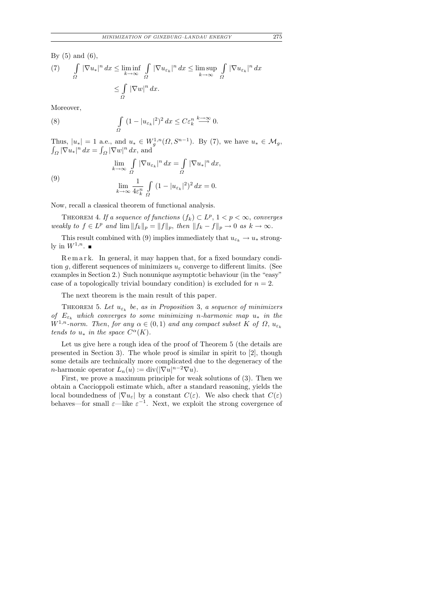By  $(5)$  and  $(6)$ ,

(7) 
$$
\int_{\Omega} |\nabla u_*|^n dx \le \liminf_{k \to \infty} \int_{\Omega} |\nabla u_{\varepsilon_k}|^n dx \le \limsup_{k \to \infty} \int_{\Omega} |\nabla u_{\varepsilon_k}|^n dx
$$

$$
\le \int_{\Omega} |\nabla w|^n dx.
$$

Moreover,

(8) 
$$
\int_{\Omega} (1 - |u_{\varepsilon_k}|^2)^2 dx \leq C \varepsilon_k^n \stackrel{k \to \infty}{\longrightarrow} 0.
$$

Thus,  $|u_*| = 1$  a.e., and  $u_* \in W^{1,n}_g(\Omega, S^{n-1})$ . By (7), we have  $u_* \in M_g$ ,  $\int_{\Omega} |\nabla u_*|^n dx = \int_{\Omega} |\nabla w|^n dx$ , and

(9)  

$$
\lim_{k \to \infty} \int_{\Omega} |\nabla u_{\varepsilon_k}|^n dx = \int_{\Omega} |\nabla u_*|^n dx,
$$

$$
\lim_{k \to \infty} \frac{1}{4\varepsilon_k^n} \int_{\Omega} (1 - |u_{\varepsilon_k}|^2)^2 dx = 0.
$$

Now, recall a classical theorem of functional analysis.

THEOREM 4. If a sequence of functions  $(f_k) \subset L^p$ ,  $1 < p < \infty$ , converges weakly to  $f \in L^p$  and  $\lim ||f_k||_p = ||f||_p$ , then  $||f_k - f||_p \to 0$  as  $k \to \infty$ .

This result combined with (9) implies immediately that  $u_{\varepsilon_k} \to u_*$  strongly in  $W^{1,n}$ .

R e m a r k. In general, it may happen that, for a fixed boundary condition g, different sequences of minimizers  $u_{\varepsilon}$  converge to different limits. (See examples in Section 2.) Such nonunique asymptotic behaviour (in the "easy" case of a topologically trivial boundary condition) is excluded for  $n = 2$ .

The next theorem is the main result of this paper.

THEOREM 5. Let  $u_{\varepsilon_k}$  be, as in Proposition 3, a sequence of minimizers of  $E_{\varepsilon_k}$  which converges to some minimizing n-harmonic map  $u_*$  in the  $W^{1,n}$ -norm. Then, for any  $\alpha \in (0,1)$  and any compact subset K of  $\Omega$ ,  $u_{\varepsilon_k}$ tends to  $u_*$  in the space  $C^{\alpha}(K)$ .

Let us give here a rough idea of the proof of Theorem 5 (the details are presented in Section 3). The whole proof is similar in spirit to [2], though some details are technically more complicated due to the degeneracy of the *n*-harmonic operator  $L_n(u) := \text{div}(|\nabla u|^{n-2} \nabla u)$ .

First, we prove a maximum principle for weak solutions of (3). Then we obtain a Caccioppoli estimate which, after a standard reasoning, yields the local boundedness of  $|\nabla u_{\varepsilon}|$  by a constant  $C(\varepsilon)$ . We also check that  $C(\varepsilon)$ behaves—for small  $\varepsilon$ —like  $\varepsilon^{-1}$ . Next, we exploit the strong covergence of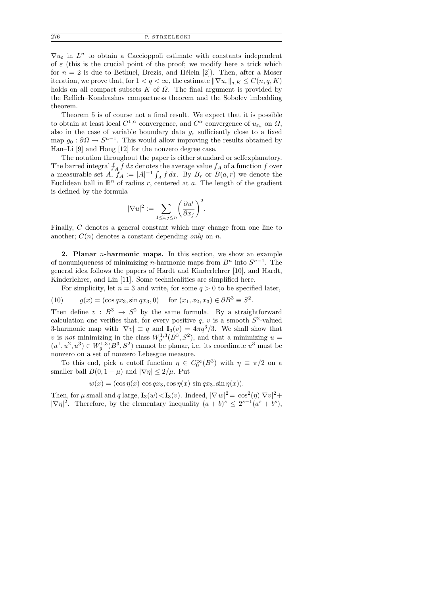$\nabla u_{\varepsilon}$  in  $L^n$  to obtain a Caccioppoli estimate with constants independent of  $\varepsilon$  (this is the crucial point of the proof; we modify here a trick which for  $n = 2$  is due to Bethuel, Brezis, and Hélein [2]). Then, after a Moser iteration, we prove that, for  $1 < q < \infty$ , the estimate  $\|\nabla u_{\varepsilon}\|_{q,K} \leq C(n,q,K)$ holds on all compact subsets  $K$  of  $\Omega$ . The final argument is provided by the Rellich–Kondrashov compactness theorem and the Sobolev imbedding theorem.

Theorem 5 is of course not a final result. We expect that it is possible to obtain at least local  $C^{1,\alpha}$  convergence, and  $C^{\alpha}$  convergence of  $u_{\varepsilon_k}$  on  $\overline{\Omega}$ , also in the case of variable boundary data  $g_{\varepsilon}$  sufficiently close to a fixed map  $g_0: \partial\Omega \to S^{n-1}$ . This would allow improving the results obtained by Han–Li [9] and Hong [12] for the nonzero degree case.

The notation throughout the paper is either standard or selfexplanatory. The barred integral  $\int_A f dx$  denotes the average value  $f_A$  of a function f over a measurable set  $A, f_A := |A|^{-1} \int_A f dx$ . By  $B_r$  or  $B(a, r)$  we denote the Euclidean ball in  $\mathbb{R}^n$  of radius r, centered at a. The length of the gradient is defined by the formula

$$
|\nabla u|^2:=\sum_{1\leq i,j\leq n}\biggl(\frac{\partial u^i}{\partial x_j}\biggr)^2.
$$

Finally, C denotes a general constant which may change from one line to another;  $C(n)$  denotes a constant depending only on n.

**2. Planar** *n***-harmonic maps.** In this section, we show an example of nonuniqueness of minimizing *n*-harmonic maps from  $B<sup>n</sup>$  into  $S<sup>n-1</sup>$ . The general idea follows the papers of Hardt and Kinderlehrer [10], and Hardt, Kinderlehrer, and Lin [11]. Some technicalities are simplified here.

For simplicity, let  $n = 3$  and write, for some  $q > 0$  to be specified later,

(10) 
$$
g(x) = (\cos qx_3, \sin qx_3, 0)
$$
 for  $(x_1, x_2, x_3) \in \partial B^3 \equiv S^2$ .

Then define  $v : B^3 \to S^2$  by the same formula. By a straightforward calculation one verifies that, for every positive q, v is a smooth  $S^2$ -valued 3-harmonic map with  $|\nabla v| \equiv q$  and  $\mathbf{I}_3(v) = 4\pi q^3/3$ . We shall show that v is not minimizing in the class  $W_g^{1,3}(B^3, S^2)$ , and that a minimizing  $u =$  $(u^1, u^2, u^3) \in W_g^{1,3}(B^3, S^2)$  cannot be planar, i.e. its coordinate  $u^3$  must be nonzero on a set of nonzero Lebesgue measure.

To this end, pick a cutoff function  $\eta \in C_0^{\infty}(B^3)$  with  $\eta \equiv \pi/2$  on a smaller ball  $B(0, 1 - \mu)$  and  $|\nabla \eta| \leq 2/\mu$ . Put

$$
w(x) = (\cos \eta(x) \cos qx_3, \cos \eta(x) \sin qx_3, \sin \eta(x)).
$$

Then, for  $\mu$  small and q large,  $\mathbf{I}_3(w) < \mathbf{I}_3(v)$ . Indeed,  $|\nabla w|^2 = \cos^2(\eta) |\nabla v|^2 +$  $|\nabla \eta|^2$ . Therefore, by the elementary inequality  $(a + b)^s \leq 2^{s-1}(a^s + b^s)$ ,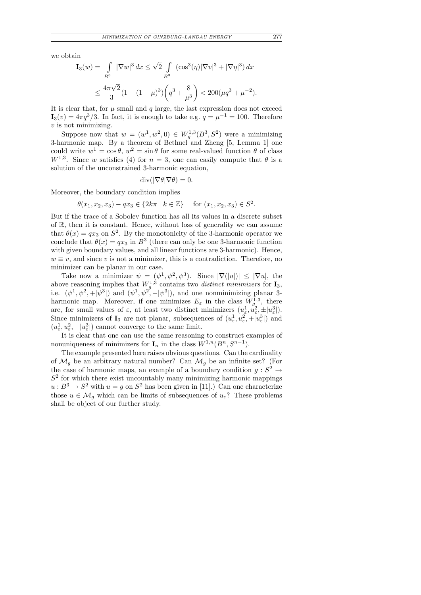we obtain

$$
\mathbf{I}_3(w) = \int_{B^3} |\nabla w|^3 dx \le \sqrt{2} \int_{B^3} (\cos^3(\eta) |\nabla v|^3 + |\nabla \eta|^3) dx
$$
  

$$
\le \frac{4\pi\sqrt{2}}{3} (1 - (1 - \mu)^3) \left( q^3 + \frac{8}{\mu^3} \right) < 200(\mu q^3 + \mu^{-2}).
$$

It is clear that, for  $\mu$  small and  $q$  large, the last expression does not exceed  $I_3(v) = 4\pi q^3/3$ . In fact, it is enough to take e.g.  $q = \mu^{-1} = 100$ . Therefore  $v$  is not minimizing.

Suppose now that  $w = (w^1, w^2, 0) \in W_g^{1,3}(B^3, S^2)$  were a minimizing 3-harmonic map. By a theorem of Bethuel and Zheng [5, Lemma 1] one could write  $w^1 = \cos \theta$ ,  $w^2 = \sin \theta$  for some real-valued function  $\theta$  of class  $W^{1,3}$ . Since w satisfies (4) for  $n=3$ , one can easily compute that  $\theta$  is a solution of the unconstrained 3-harmonic equation,

$$
\operatorname{div}(|\nabla \theta| \nabla \theta) = 0.
$$

Moreover, the boundary condition implies

$$
\theta(x_1, x_2, x_3) - qx_3 \in \{2k\pi \mid k \in \mathbb{Z}\} \quad \text{for } (x_1, x_2, x_3) \in S^2.
$$

But if the trace of a Sobolev function has all its values in a discrete subset of R, then it is constant. Hence, without loss of generality we can assume that  $\theta(x) = qx_3$  on  $S^2$ . By the monotonicity of the 3-harmonic operator we conclude that  $\theta(x) = qx_3$  in  $B^3$  (there can only be one 3-harmonic function with given boundary values, and all linear functions are 3-harmonic). Hence,  $w \equiv v$ , and since v is not a minimizer, this is a contradiction. Therefore, no minimizer can be planar in our case.

Take now a minimizer  $\psi = (\psi^1, \psi^2, \psi^3)$ . Since  $|\nabla (u)| \leq |\nabla u|$ , the above reasoning implies that  $W_q^{1,3}$  contains two *distinct minimizers* for  $\mathbf{I}_3$ , above reasoning implies that  $W_g$  contains two *assinct minimizers* for **1**3,<br>i.e.  $(\psi^1, \psi^2, +|\psi^3|)$  and  $(\psi^1, \psi^2, -|\psi^3|)$ , and one nonminimizing planar 3harmonic map. Moreover, if one minimizes  $E_{\varepsilon}$  in the class  $W_g^{1,3}$ , there are, for small values of  $\varepsilon$ , at least two distinct minimizers  $(u_{\varepsilon}^1, u_{\varepsilon}^2, \pm |u_{\varepsilon}^3|)$ . Since minimizers of  $I_3$  are not planar, subsequences of  $(u_\varepsilon^1, u_\varepsilon^2, +|u_\varepsilon^3|)$  and  $(u_{\varepsilon}^1, u_{\varepsilon}^2, -|u_{\varepsilon}^3|)$  cannot converge to the same limit.

It is clear that one can use the same reasoning to construct examples of nonuniqueness of minimizers for  $\mathbf{I}_n$  in the class  $W^{1,n}(B^n, S^{n-1})$ .

The example presented here raises obvious questions. Can the cardinality of  $\mathcal{M}_g$  be an arbitrary natural number? Can  $\mathcal{M}_g$  be an infinite set? (For the case of harmonic maps, an example of a boundary condition  $g: S^2 \to$  $S<sup>2</sup>$  for which there exist uncountably many minimizing harmonic mappings  $u: B^3 \to S^2$  with  $u = g$  on  $S^2$  has been given in [11].) Can one characterize those  $u \in \mathcal{M}_q$  which can be limits of subsequences of  $u_{\varepsilon}$ ? These problems shall be object of our further study.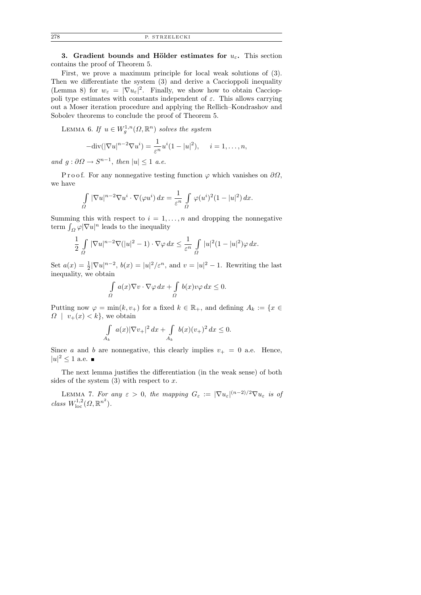3. Gradient bounds and Hölder estimates for  $u_{\varepsilon}$ . This section contains the proof of Theorem 5.

First, we prove a maximum principle for local weak solutions of (3). Then we differentiate the system (3) and derive a Caccioppoli inequality (Lemma 8) for  $w_{\varepsilon} = |\nabla u_{\varepsilon}|^2$ . Finally, we show how to obtain Caccioppoli type estimates with constants independent of  $\varepsilon$ . This allows carrying out a Moser iteration procedure and applying the Rellich–Kondrashov and Sobolev theorems to conclude the proof of Theorem 5.

LEMMA 6. If  $u \in W_g^{1,n}(\Omega,\mathbb{R}^n)$  solves the system

$$
-\mathrm{div}(|\nabla u|^{n-2}\nabla u^i) = \frac{1}{\varepsilon^n}u^i(1-|u|^2), \quad i=1,\ldots,n,
$$

and  $g: \partial \Omega \to S^{n-1}$ , then  $|u| \leq 1$  a.e.

P r o o f. For any nonnegative testing function  $\varphi$  which vanishes on  $\partial\Omega$ , we have

$$
\int_{\Omega} |\nabla u|^{n-2} \nabla u^i \cdot \nabla (\varphi u^i) dx = \frac{1}{\varepsilon^n} \int_{\Omega} \varphi (u^i)^2 (1 - |u|^2) dx.
$$

Summing this with respect to  $i = 1, \ldots, n$  and dropping the nonnegative term  $\int_{\Omega} \varphi |\nabla u|^n$  leads to the inequality

$$
\frac{1}{2} \int\limits_{\Omega} |\nabla u|^{n-2} \nabla (|u|^2 - 1) \cdot \nabla \varphi \, dx \leq \frac{1}{\varepsilon^n} \int\limits_{\Omega} |u|^2 (1 - |u|^2) \varphi \, dx.
$$

Set  $a(x) = \frac{1}{2} |\nabla u|^{n-2}$ ,  $b(x) = |u|^2 / \varepsilon^n$ , and  $v = |u|^2 - 1$ . Rewriting the last inequality, we obtain

$$
\int_{\Omega} a(x) \nabla v \cdot \nabla \varphi \, dx + \int_{\Omega} b(x) v \varphi \, dx \le 0.
$$

Putting now  $\varphi = \min(k, v_+)$  for a fixed  $k \in \mathbb{R}_+$ , and defining  $A_k := \{x \in$  $\Omega$  |  $v_+(x) < k$ , we obtain

$$
\int_{A_k} a(x)|\nabla v_+|^2 \, dx + \int_{A_k} b(x)(v_+)^2 \, dx \le 0.
$$

Since a and b are nonnegative, this clearly implies  $v_+ = 0$  a.e. Hence,  $|u|^2 \leq 1$  a.e.

The next lemma justifies the differentiation (in the weak sense) of both sides of the system  $(3)$  with respect to x.

LEMMA 7. For any  $\varepsilon > 0$ , the mapping  $G_{\varepsilon} := |\nabla u_{\varepsilon}|^{(n-2)/2} \nabla u_{\varepsilon}$  is of class  $W^{1,2}_{\text{loc}}(\Omega,\mathbb{R}^{n^2})$ .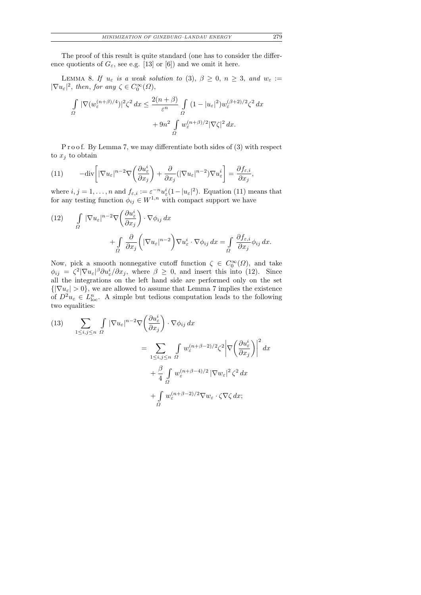The proof of this result is quite standard (one has to consider the difference quotients of  $G_{\varepsilon}$ , see e.g. [13] or [6]) and we omit it here.

LEMMA 8. If  $u_{\varepsilon}$  is a weak solution to (3),  $\beta \geq 0$ ,  $n \geq 3$ , and  $w_{\varepsilon} :=$  $|\nabla u_{\varepsilon}|^2$ , then, for any  $\zeta \in C_0^{\infty}(\Omega)$ ,

$$
\int_{\Omega} |\nabla (w_{\varepsilon}^{(n+\beta)/4})|^2 \zeta^2 dx \le \frac{2(n+\beta)}{\varepsilon^n} \int_{\Omega} (1-|u_{\varepsilon}|^2) w_{\varepsilon}^{(\beta+2)/2} \zeta^2 dx
$$

$$
+ 9n^2 \int_{\Omega} w_{\varepsilon}^{(n+\beta)/2} |\nabla \zeta|^2 dx.
$$

P r o o f. By Lemma 7, we may differentiate both sides of (3) with respect to  $x_j$  to obtain

(11) 
$$
-\text{div}\left[|\nabla u_{\varepsilon}|^{n-2}\nabla\left(\frac{\partial u_{\varepsilon}^{i}}{\partial x_{j}}\right)+\frac{\partial}{\partial x_{j}}(|\nabla u_{\varepsilon}|^{n-2})\nabla u_{\varepsilon}^{i}\right]=\frac{\partial f_{\varepsilon,i}}{\partial x_{j}},
$$

where  $i, j = 1, ..., n$  and  $f_{\varepsilon,i} := \varepsilon^{-n} u_{\varepsilon}^i (1 - |u_{\varepsilon}|^2)$ . Equation (11) means that for any testing function  $\phi_{ij} \in W^{1,n}$  with compact support we have

(12) 
$$
\int_{\Omega} |\nabla u_{\varepsilon}|^{n-2} \nabla \left(\frac{\partial u_{\varepsilon}^{i}}{\partial x_{j}}\right) \cdot \nabla \phi_{ij} dx + \int_{\Omega} \frac{\partial}{\partial x_{j}} \left( |\nabla u_{\varepsilon}|^{n-2} \right) \nabla u_{\varepsilon}^{i} \cdot \nabla \phi_{ij} dx = \int_{\Omega} \frac{\partial f_{\varepsilon,i}}{\partial x_{j}} \phi_{ij} dx.
$$

Now, pick a smooth nonnegative cutoff function  $\zeta \in C_0^{\infty}(\Omega)$ , and take  $\phi_{ij} = \zeta^2 |\nabla u_{\varepsilon}|^{\beta} \partial u_{\varepsilon}^i / \partial x_j$ , where  $\beta \geq 0$ , and insert this into (12). Since all the integrations on the left hand side are performed only on the set  $\{|\nabla u_{\varepsilon}| > 0\}$ , we are allowed to assume that Lemma 7 implies the existence of  $D^2 u_{\varepsilon} \in L_{loc}^n$ . A simple but tedious computation leads to the following two equalities:

(13) 
$$
\sum_{1 \le i,j \le n} \int_{\Omega} |\nabla u_{\varepsilon}|^{n-2} \nabla \left(\frac{\partial u_{\varepsilon}^{i}}{\partial x_{j}}\right) \cdot \nabla \phi_{ij} dx
$$
  
\n
$$
= \sum_{1 \le i,j \le n} \int_{\Omega} w_{\varepsilon}^{(n+\beta-2)/2} \zeta^{2} \left| \nabla \left(\frac{\partial u_{\varepsilon}^{i}}{\partial x_{j}}\right) \right|^{2} dx
$$
  
\n
$$
+ \frac{\beta}{4} \int_{\Omega} w_{\varepsilon}^{(n+\beta-4)/2} |\nabla w_{\varepsilon}|^{2} \zeta^{2} dx
$$
  
\n
$$
+ \int_{\Omega} w_{\varepsilon}^{(n+\beta-2)/2} \nabla w_{\varepsilon} \cdot \zeta \nabla \zeta dx;
$$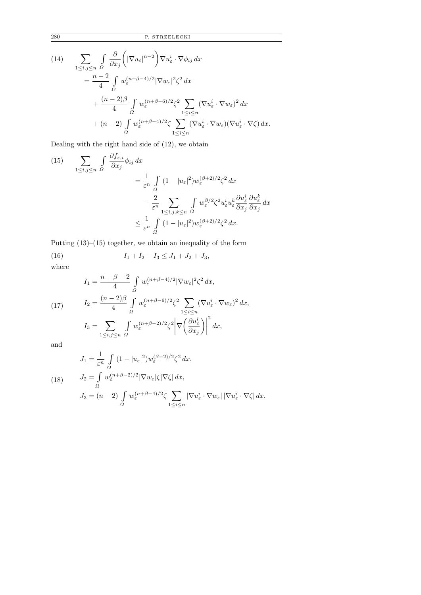(14)  
\n
$$
\sum_{1 \leq i,j \leq n} \int_{\Omega} \frac{\partial}{\partial x_j} \left( |\nabla u_{\varepsilon}|^{n-2} \right) \nabla u_{\varepsilon}^i \cdot \nabla \phi_{ij} dx
$$
\n
$$
= \frac{n-2}{4} \int_{\Omega} w_{\varepsilon}^{(n+\beta-4)/2} |\nabla w_{\varepsilon}|^2 \zeta^2 dx
$$
\n
$$
+ \frac{(n-2)\beta}{4} \int_{\Omega} w_{\varepsilon}^{(n+\beta-6)/2} \zeta^2 \sum_{1 \leq i \leq n} (\nabla u_{\varepsilon}^i \cdot \nabla w_{\varepsilon})^2 dx
$$
\n
$$
+ (n-2) \int_{\Omega} w_{\varepsilon}^{(n+\beta-4)/2} \zeta \sum_{1 \leq i \leq n} (\nabla u_{\varepsilon}^i \cdot \nabla w_{\varepsilon}) (\nabla u_{\varepsilon}^i \cdot \nabla \zeta) dx.
$$

Dealing with the right hand side of (12), we obtain

(15) 
$$
\sum_{1 \le i,j \le n} \int_{\Omega} \frac{\partial f_{\varepsilon,i}}{\partial x_j} \phi_{ij} dx = \frac{1}{\varepsilon^n} \int_{\Omega} (1 - |u_{\varepsilon}|^2) w_{\varepsilon}^{(\beta+2)/2} \zeta^2 dx - \frac{2}{\varepsilon^n} \sum_{1 \le i,j,k \le n} \int_{\Omega} w_{\varepsilon}^{\beta/2} \zeta^2 u_{\varepsilon}^i u_{\varepsilon}^k \frac{\partial u_{\varepsilon}^i}{\partial x_j} \frac{\partial u_{\varepsilon}^k}{\partial x_j} dx \le \frac{1}{\varepsilon^n} \int_{\Omega} (1 - |u_{\varepsilon}|^2) w_{\varepsilon}^{(\beta+2)/2} \zeta^2 dx.
$$

Putting (13)–(15) together, we obtain an inequality of the form

(16) 
$$
I_1 + I_2 + I_3 \leq J_1 + J_2 + J_3,
$$

where

(17) 
$$
I_1 = \frac{n + \beta - 2}{4} \int_{\Omega} w_{\varepsilon}^{(n+\beta-4)/2} |\nabla w_{\varepsilon}|^2 \zeta^2 dx,
$$

$$
I_2 = \frac{(n-2)\beta}{4} \int_{\Omega} w_{\varepsilon}^{(n+\beta-6)/2} \zeta^2 \sum_{1 \le i \le n} (\nabla u_{\varepsilon}^i \cdot \nabla w_{\varepsilon})^2 dx,
$$

$$
I_3 = \sum_{1 \le i,j \le n} \int_{\Omega} w_{\varepsilon}^{(n+\beta-2)/2} \zeta^2 \left| \nabla \left( \frac{\partial u_{\varepsilon}^i}{\partial x_j} \right) \right|^2 dx,
$$

and

(18) 
$$
J_1 = \frac{1}{\varepsilon^n} \int_{\Omega} (1 - |u_{\varepsilon}|^2) w_{\varepsilon}^{(\beta + 2)/2} \zeta^2 dx,
$$
  
\n
$$
J_2 = \int_{\Omega} w_{\varepsilon}^{(n + \beta - 2)/2} |\nabla w_{\varepsilon}| \zeta |\nabla \zeta| dx,
$$
  
\n
$$
J_3 = (n - 2) \int_{\Omega} w_{\varepsilon}^{(n + \beta - 4)/2} \zeta \sum_{1 \le i \le n} |\nabla u_{\varepsilon}^i \cdot \nabla w_{\varepsilon}| |\nabla u_{\varepsilon}^i \cdot \nabla \zeta| dx.
$$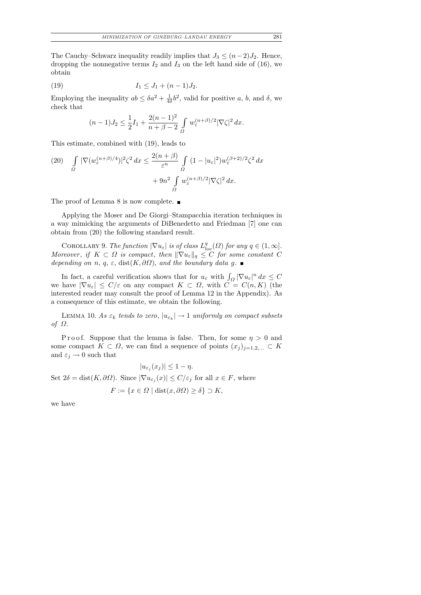The Cauchy–Schwarz inequality readily implies that  $J_3 \leq (n-2)J_2$ . Hence, dropping the nonnegative terms  $I_2$  and  $I_3$  on the left hand side of (16), we obtain

(19) 
$$
I_1 \leq J_1 + (n-1)J_2.
$$

Employing the inequality  $ab \leq \delta a^2 + \frac{1}{4\delta}$  $\frac{1}{4\delta}b^2$ , valid for positive a, b, and  $\delta$ , we check that

$$
(n-1)J_2 \le \frac{1}{2}I_1 + \frac{2(n-1)^2}{n+\beta-2} \int_{\Omega} w_{\varepsilon}^{(n+\beta)/2} |\nabla \zeta|^2 dx.
$$

This estimate, combined with (19), leads to

$$
(20) \quad \int\limits_{\Omega} |\nabla (w_{\varepsilon}^{(n+\beta)/4})|^2 \zeta^2 \, dx \le \frac{2(n+\beta)}{\varepsilon^n} \int\limits_{\Omega} (1 - |u_{\varepsilon}|^2) w_{\varepsilon}^{(\beta+2)/2} \zeta^2 \, dx
$$

$$
+ 9n^2 \int\limits_{\Omega} w_{\varepsilon}^{(n+\beta)/2} |\nabla \zeta|^2 \, dx.
$$

The proof of Lemma 8 is now complete.  $\blacksquare$ 

Applying the Moser and De Giorgi–Stampacchia iteration techniques in a way mimicking the arguments of DiBenedetto and Friedman [7] one can obtain from (20) the following standard result.

COROLLARY 9. The function  $|\nabla u_{\varepsilon}|$  is of class  $L^q_{\text{loc}}(\Omega)$  for any  $q \in (1,\infty]$ . Moreover, if  $K \subset \Omega$  is compact, then  $\|\nabla u_{\varepsilon}\|_q \leq C$  for some constant C depending on n, q,  $\varepsilon$ , dist $(K, \partial \Omega)$ , and the boundary data g.

In fact, a careful verification shows that for  $u_{\varepsilon}$  with  $\int_{\Omega} |\nabla u_{\varepsilon}|^n dx \leq C$ we have  $|\nabla u_{\varepsilon}| \le C/\varepsilon$  on any compact  $K \subset \Omega$ , with  $C = C(n,K)$  (the interested reader may consult the proof of Lemma 12 in the Appendix). As a consequence of this estimate, we obtain the following.

LEMMA 10. As  $\varepsilon_k$  tends to zero,  $|u_{\varepsilon_k}| \to 1$  uniformly on compact subsets of  $\Omega$ .

P r o o f. Suppose that the lemma is false. Then, for some  $\eta > 0$  and some compact  $K \subset \Omega$ , we can find a sequence of points  $(x_j)_{j=1,2,...} \subset K$ and  $\varepsilon_j\to 0$  such that

where

$$
|u_{\varepsilon_j}(x_j)| \le 1 - \eta.
$$
  
Set  $2\delta = \text{dist}(K, \partial \Omega)$ . Since  $|\nabla u_{\varepsilon_j}(x)| \le C/\varepsilon_j$  for all  $x \in F$ ,  

$$
F := \{x \in \Omega \mid \text{dist}(x, \partial \Omega) \ge \delta\} \supset K,
$$

we have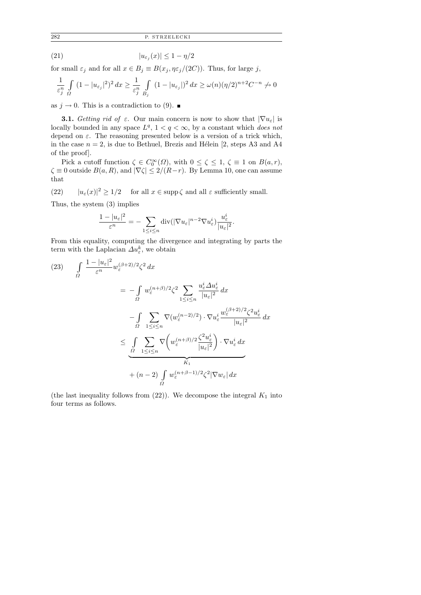$$
(21) \t\t\t |u_{\varepsilon_j}(x)| \le 1 - \eta/2
$$

for small  $\varepsilon_j$  and for all  $x \in B_j \equiv B(x_j, \eta \varepsilon_j/(2C))$ . Thus, for large j,

$$
\frac{1}{\varepsilon_j^n} \int\limits_{\Omega} (1 - |u_{\varepsilon_j}|^2)^2 dx \geq \frac{1}{\varepsilon_j^n} \int\limits_{B_j} (1 - |u_{\varepsilon_j}|)^2 dx \geq \omega(n) (\eta/2)^{n+2} C^{-n} \to 0
$$

as  $j \to 0$ . This is a contradiction to (9). ■

**3.1.** Getting rid of  $\varepsilon$ . Our main concern is now to show that  $|\nabla u_{\varepsilon}|$  is locally bounded in any space  $L^q$ ,  $1 < q < \infty$ , by a constant which *does not* depend on  $\varepsilon$ . The reasoning presented below is a version of a trick which, in the case  $n = 2$ , is due to Bethuel, Brezis and Hélein [2, steps A3 and A4 of the proof].

Pick a cutoff function  $\zeta \in C_0^{\infty}(\Omega)$ , with  $0 \le \zeta \le 1$ ,  $\zeta \equiv 1$  on  $B(a,r)$ ,  $\zeta \equiv 0$  outside  $B(a, R)$ , and  $|\nabla \zeta| \leq 2/(R-r)$ . By Lemma 10, one can assume that

(22)  $|u_{\varepsilon}(x)|^2 \ge 1/2$  for all  $x \in \text{supp }\zeta$  and all  $\varepsilon$  sufficiently small.

Thus, the system (3) implies

$$
\frac{1-|u_{\varepsilon}|^2}{\varepsilon^n}=-\sum_{1\leq i\leq n} \operatorname{div}(|\nabla u_{\varepsilon}|^{n-2}\nabla u_{\varepsilon}^i)\frac{u_{\varepsilon}^i}{|u_{\varepsilon}|^2}.
$$

From this equality, computing the divergence and integrating by parts the term with the Laplacian  $\Delta u_{\varepsilon}^k$ , we obtain

$$
(23) \qquad \int_{\Omega} \frac{1 - |u_{\varepsilon}|^2}{\varepsilon^n} w_{\varepsilon}^{(\beta+2)/2} \zeta^2 dx
$$
  

$$
= -\int_{\Omega} w_{\varepsilon}^{(n+\beta)/2} \zeta^2 \sum_{1 \le i \le n} \frac{u_{\varepsilon}^i \Delta u_{\varepsilon}^i}{|u_{\varepsilon}|^2} dx
$$
  

$$
- \int_{\Omega} \sum_{1 \le i \le n} \nabla(w_{\varepsilon}^{(n-2)/2}) \cdot \nabla u_{\varepsilon}^i \frac{w_{\varepsilon}^{(\beta+2)/2} \zeta^2 u_{\varepsilon}^i}{|u_{\varepsilon}|^2} dx
$$
  

$$
\le \int_{\Omega} \sum_{1 \le i \le n} \nabla \left( w_{\varepsilon}^{(n+\beta)/2} \frac{\zeta^2 u_{\varepsilon}^i}{|u_{\varepsilon}|^2} \right) \cdot \nabla u_{\varepsilon}^i dx
$$
  

$$
+ (n-2) \int_{\Omega} w_{\varepsilon}^{(n+\beta-1)/2} \zeta^2 |\nabla w_{\varepsilon}| dx
$$

(the last inequality follows from  $(22)$ ). We decompose the integral  $K_1$  into four terms as follows.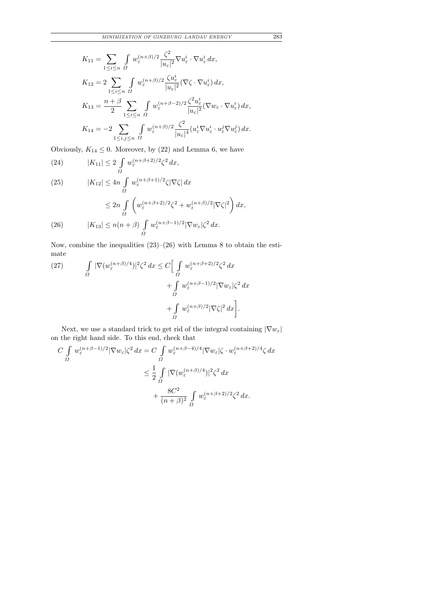$$
K_{11} = \sum_{1 \leq i \leq n} \int_{\Omega} w_{\varepsilon}^{(n+\beta)/2} \frac{\zeta^2}{|u_{\varepsilon}|^2} \nabla u_{\varepsilon}^i \cdot \nabla u_{\varepsilon}^i dx,
$$
  
\n
$$
K_{12} = 2 \sum_{1 \leq i \leq n} \int_{\Omega} w_{\varepsilon}^{(n+\beta)/2} \frac{\zeta u_{\varepsilon}^i}{|u_{\varepsilon}|^2} (\nabla \zeta \cdot \nabla u_{\varepsilon}^i) dx,
$$
  
\n
$$
K_{13} = \frac{n+\beta}{2} \sum_{1 \leq i \leq n} \int_{\Omega} w_{\varepsilon}^{(n+\beta-2)/2} \frac{\zeta^2 u_{\varepsilon}^i}{|u_{\varepsilon}|^2} (\nabla w_{\varepsilon} \cdot \nabla u_{\varepsilon}^i) dx,
$$
  
\n
$$
K_{14} = -2 \sum_{1 \leq i,j \leq n} \int_{\Omega} w_{\varepsilon}^{(n+\beta)/2} \frac{\zeta^2}{|u_{\varepsilon}|^4} (u_{\varepsilon}^i \nabla u_{\varepsilon}^i \cdot u_{\varepsilon}^j \nabla u_{\varepsilon}^j) dx.
$$

Obviously,  $K_{14} \leq 0$ . Moreover, by (22) and Lemma 6, we have

(24) 
$$
|K_{11}| \leq 2 \int\limits_{\Omega} w_{\varepsilon}^{(n+\beta+2)/2} \zeta^2 dx,
$$

(25) 
$$
|K_{12}| \le 4n \int_{\Omega} w_{\varepsilon}^{(n+\beta+1)/2} \zeta |\nabla \zeta| dx
$$

$$
\le 2n \int_{\Omega} \left( w_{\varepsilon}^{(n+\beta+2)/2} \zeta^2 + w_{\varepsilon}^{(n+\beta)/2} |\nabla \zeta|^2 \right) dx,
$$

$$
(26) \qquad |K_{13}| \le n(n+\beta) \int_{\Omega} w_{\varepsilon}^{(n+\beta-1)/2} |\nabla w_{\varepsilon}| \zeta^2 dx.
$$

Now, combine the inequalities  $(23)$ – $(26)$  with Lemma 8 to obtain the estimate

(27) 
$$
\int_{\Omega} |\nabla (w_{\varepsilon}^{(n+\beta)/4})|^2 \zeta^2 dx \leq C \Big[ \int_{\Omega} w_{\varepsilon}^{(n+\beta+2)/2} \zeta^2 dx \n+ \int_{\Omega} w_{\varepsilon}^{(n+\beta-1)/2} |\nabla w_{\varepsilon}| \zeta^2 dx \n+ \int_{\Omega} w_{\varepsilon}^{(n+\beta)/2} |\nabla \zeta|^2 dx \Big].
$$

Next, we use a standard trick to get rid of the integral containing  $|\nabla w_\varepsilon|$ on the right hand side. To this end, check that

$$
C \int_{\Omega} w_{\varepsilon}^{(n+\beta-1)/2} |\nabla w_{\varepsilon}| \zeta^{2} dx = C \int_{\Omega} w_{\varepsilon}^{(n+\beta-4)/4} |\nabla w_{\varepsilon}| \zeta \cdot w_{\varepsilon}^{(n+\beta+2)/4} \zeta dx
$$
  

$$
\leq \frac{1}{2} \int_{\Omega} |\nabla (w_{\varepsilon}^{(n+\beta)/4})|^{2} \zeta^{2} dx
$$
  

$$
+ \frac{8C^{2}}{(n+\beta)^{2}} \int_{\Omega} w_{\varepsilon}^{(n+\beta+2)/2} \zeta^{2} dx.
$$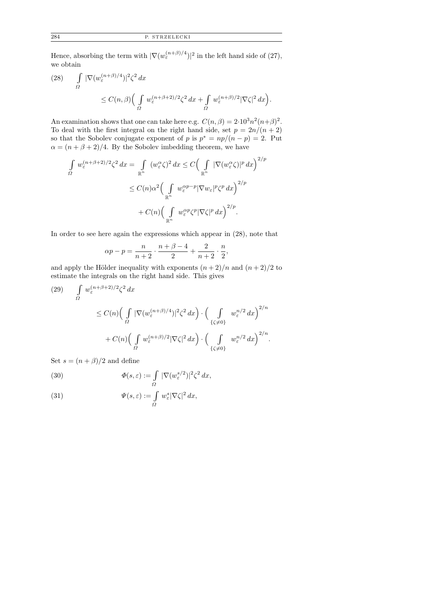Hence, absorbing the term with  $|\nabla(w_{\varepsilon}^{(n+\beta)/4})|^2$  in the left hand side of (27), we obtain

(28) 
$$
\int_{\Omega} |\nabla (w_{\varepsilon}^{(n+\beta)/4})|^2 \zeta^2 dx
$$
  
 
$$
\leq C(n,\beta) \Big( \int_{\Omega} w_{\varepsilon}^{(n+\beta+2)/2} \zeta^2 dx + \int_{\Omega} w_{\varepsilon}^{(n+\beta)/2} |\nabla \zeta|^2 dx \Big).
$$

An examination shows that one can take here e.g.  $C(n, \beta) = 2 \cdot 10^3 n^2 (n+\beta)^2$ . To deal with the first integral on the right hand side, set  $p = 2n/(n+2)$ so that the Sobolev conjugate exponent of p is  $p^* = np/(n-p) = 2$ . Put  $\alpha = (n + \beta + 2)/4$ . By the Sobolev imbedding theorem, we have

$$
\int_{\Omega} w_{\varepsilon}^{(n+\beta+2)/2} \zeta^2 dx = \int_{\mathbb{R}^n} (w_{\varepsilon}^{\alpha} \zeta)^2 dx \le C \Big( \int_{\mathbb{R}^n} |\nabla(w_{\varepsilon}^{\alpha} \zeta)|^p dx \Big)^{2/p}
$$
  

$$
\le C(n) \alpha^2 \Big( \int_{\mathbb{R}^n} w_{\varepsilon}^{\alpha p-p} |\nabla w_{\varepsilon}|^p \zeta^p dx \Big)^{2/p}
$$
  

$$
+ C(n) \Big( \int_{\mathbb{R}^n} w_{\varepsilon}^{\alpha p} \zeta^p |\nabla \zeta|^p dx \Big)^{2/p}.
$$

In order to see here again the expressions which appear in (28), note that

$$
\alpha p - p = \frac{n}{n+2} \cdot \frac{n+\beta-4}{2} + \frac{2}{n+2} \cdot \frac{n}{2}
$$

,

and apply the Hölder inequality with exponents  $(n+2)/n$  and  $(n+2)/2$  to estimate the integrals on the right hand side. This gives

(29) 
$$
\int_{\Omega} w_{\varepsilon}^{(n+\beta+2)/2} \zeta^2 dx
$$
  
\n
$$
\leq C(n) \Big( \int_{\Omega} |\nabla (w_{\varepsilon}^{(n+\beta)/4})|^2 \zeta^2 dx \Big) \cdot \Big( \int_{\{\zeta \neq 0\}} w_{\varepsilon}^{n/2} dx \Big)^{2/n}
$$
  
\n
$$
+ C(n) \Big( \int_{\Omega} w_{\varepsilon}^{(n+\beta)/2} |\nabla \zeta|^2 dx \Big) \cdot \Big( \int_{\{\zeta \neq 0\}} w_{\varepsilon}^{n/2} dx \Big)^{2/n}.
$$

Set  $s = (n + \beta)/2$  and define

(30) 
$$
\Phi(s,\varepsilon) := \int_{\Omega} |\nabla(w_{\varepsilon}^{s/2})|^2 \zeta^2 dx,
$$

(31) 
$$
\Psi(s,\varepsilon) := \int_{\Omega} w_{\varepsilon}^{s} |\nabla \zeta|^{2} dx,
$$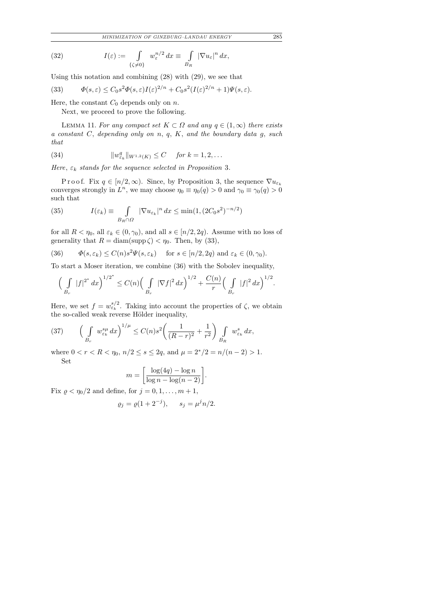*MINIMIZATION OF GINZBURG–LANDAU ENERGY* 285

(32) 
$$
I(\varepsilon) := \int\limits_{\{\zeta \neq 0\}} w_{\varepsilon}^{n/2} dx \equiv \int\limits_{B_R} |\nabla u_{\varepsilon}|^n dx,
$$

Using this notation and combining (28) with (29), we see that

(33) 
$$
\Phi(s,\varepsilon) \leq C_0 s^2 \Phi(s,\varepsilon) I(\varepsilon)^{2/n} + C_0 s^2 (I(\varepsilon)^{2/n} + 1) \Psi(s,\varepsilon).
$$

Here, the constant  $C_0$  depends only on n.

Next, we proceed to prove the following.

LEMMA 11. For any compact set  $K \subset \Omega$  and any  $q \in (1,\infty)$  there exists a constant  $C$ , depending only on  $n, q, K$ , and the boundary data  $g$ , such that

(34) 
$$
||w_{\varepsilon_k}^q||_{W^{1,2}(K)} \leq C \quad \text{for } k = 1, 2, ...
$$

Here,  $\varepsilon_k$  stands for the sequence selected in Proposition 3.

P r o o f. Fix  $q \in [n/2,\infty)$ . Since, by Proposition 3, the sequence  $\nabla u_{\varepsilon_k}$ converges strongly in  $L^n$ , we may choose  $\eta_0 \equiv \eta_0(q) > 0$  and  $\gamma_0 \equiv \gamma_0(q) > 0$ such that

(35) 
$$
I(\varepsilon_k) \equiv \int\limits_{B_R \cap \Omega} |\nabla u_{\varepsilon_k}|^n dx \le \min(1, (2C_0 s^2)^{-n/2})
$$

for all  $R < \eta_0$ , all  $\varepsilon_k \in (0, \gamma_0)$ , and all  $s \in [n/2, 2q)$ . Assume with no loss of generality that  $R = \text{diam}(\text{supp }\zeta) < \eta_0$ . Then, by (33),

(36) 
$$
\Phi(s,\varepsilon_k) \le C(n)s^2 \Psi(s,\varepsilon_k) \quad \text{for } s \in [n/2,2q) \text{ and } \varepsilon_k \in (0,\gamma_0).
$$

To start a Moser iteration, we combine (36) with the Sobolev inequality,

$$
\left(\int\limits_{B_r} |f|^{2^*} dx\right)^{1/2^*} \leq C(n) \left(\int\limits_{B_r} |\nabla f|^2 dx\right)^{1/2} + \frac{C(n)}{r} \left(\int\limits_{B_r} |f|^2 dx\right)^{1/2}.
$$

Here, we set  $f = w_{\varepsilon_k}^{s/2}$ . Taking into account the properties of  $\zeta$ , we obtain the so-called weak reverse Hölder inequality,

(37) 
$$
\left(\int\limits_{B_r} w_{\varepsilon_k}^{s\mu} dx\right)^{1/\mu} \le C(n)s^2 \left(\frac{1}{(R-r)^2} + \frac{1}{r^2}\right) \int\limits_{B_R} w_{\varepsilon_k}^s dx,
$$

where  $0 < r < R < \eta_0$ ,  $n/2 \le s \le 2q$ , and  $\mu = 2^*/2 = n/(n-2) > 1$ . Set

$$
m = \left[\frac{\log(4q) - \log n}{\log n - \log(n-2)}\right].
$$

Fix  $\rho < \eta_0/2$  and define, for  $j = 0, 1, \ldots, m + 1$ ,

$$
\varrho_j = \varrho (1 + 2^{-j}), \quad s_j = \mu^j n/2.
$$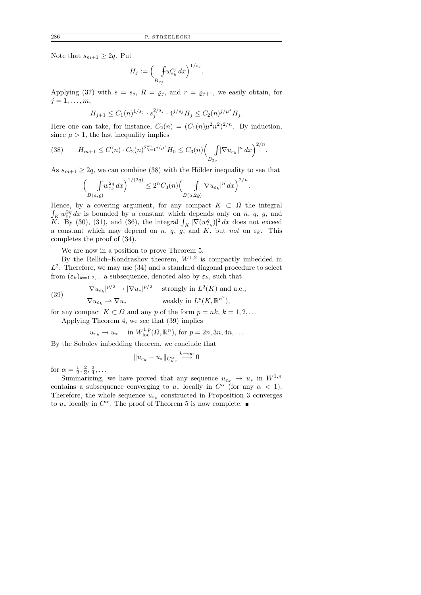Note that  $s_{m+1} \geq 2q$ . Put

<sup>H</sup><sup>j</sup> := – R B%j w sj εk dx<sup>1</sup>/s<sup>j</sup> .

Applying (37) with  $s = s_j$ ,  $R = \varrho_j$ , and  $r = \varrho_{j+1}$ , we easily obtain, for  $j=1,\ldots,m,$ 

$$
H_{j+1} \le C_1(n)^{1/s_j} \cdot s_j^{2/s_j} \cdot 4^{j/s_j} H_j \le C_2(n)^{j/\mu^j} H_j.
$$

Here one can take, for instance,  $C_2(n) = (C_1(n)\mu^2 n^2)^{2/n}$ . By induction, since  $\mu > 1$ , the last inequality implies

.

(38) 
$$
H_{m+1} \leq C(n) \cdot C_2(n)^{\sum_{i=1}^{m} i/\mu^{i}} H_0 \leq C_3(n) \Biggl(\int_{B_{2\varrho}} |\nabla u_{\varepsilon_k}|^n dx\Biggr)^{2/n}
$$

As  $s_{m+1} \geq 2q$ , we can combine (38) with the Hölder inequality to see that

$$
\left(\int\limits_{B(a,\varrho)} f w_{\varepsilon_k}^{2q} dx\right)^{1/(2q)} \le 2^n C_3(n) \left(\int\limits_{B(a,2\varrho)} |\nabla u_{\varepsilon_k}|^n dx\right)^{2/n}.
$$

Hence, by a covering argument, for any compact  $K \subset \Omega$  the integral  $\int_K w_{\varepsilon_k}^{2q} dx$  is bounded by a constant which depends only on n, q, g, and  $\widetilde{K}$ . By (30), (31), and (36), the integral  $\int_K |\nabla(w_{\varepsilon_k}^q)|^2 dx$  does not exceed a constant which may depend on n, q, g, and K, but not on  $\varepsilon_k$ . This completes the proof of (34).

We are now in a position to prove Theorem 5.

By the Rellich–Kondrashov theorem,  $W^{1,2}$  is compactly imbedded in  $L^2$ . Therefore, we may use (34) and a standard diagonal procedure to select from  $(\varepsilon_k)_{k=1,2,...}$  a subsequence, denoted also by  $\varepsilon_k$ , such that

(39) 
$$
|\nabla u_{\varepsilon_k}|^{p/2} \to |\nabla u_*|^{p/2} \quad \text{strongly in } L^2(K) \text{ and a.e.,}
$$

$$
\nabla u_{\varepsilon_k} \to \nabla u_* \quad \text{weakly in } L^p(K, \mathbb{R}^{n^2}),
$$

for any compact  $K \subset \Omega$  and any p of the form  $p = nk, k = 1, 2, ...$ Applying Theorem 4, we see that (39) implies

$$
u_{\varepsilon_k} \to u_* \quad \text{ in } W^{1,p}_{\text{loc}}(\Omega, \mathbb{R}^n), \text{ for } p = 2n, 3n, 4n, \dots
$$

By the Sobolev imbedding theorem, we conclude that

$$
||u_{\varepsilon_k} - u_*||_{C^\alpha_{\text{loc}}} \stackrel{k \to \infty}{\longrightarrow} 0
$$

for  $\alpha = \frac{1}{2}$  $\frac{1}{2}$ ,  $\frac{2}{3}$  $\frac{2}{3}, \frac{3}{4}$  $\frac{3}{4}, \ldots$ 

Summarizing, we have proved that any sequence  $u_{\varepsilon_k} \to u_*$  in  $W^{1,n}$ contains a subsequence converging to  $u_*$  locally in  $C^{\alpha}$  (for any  $\alpha < 1$ ). Therefore, the whole sequence  $u_{\varepsilon_k}$  constructed in Proposition 3 converges to  $u_*$  locally in  $C^{\alpha}$ . The proof of Theorem 5 is now complete.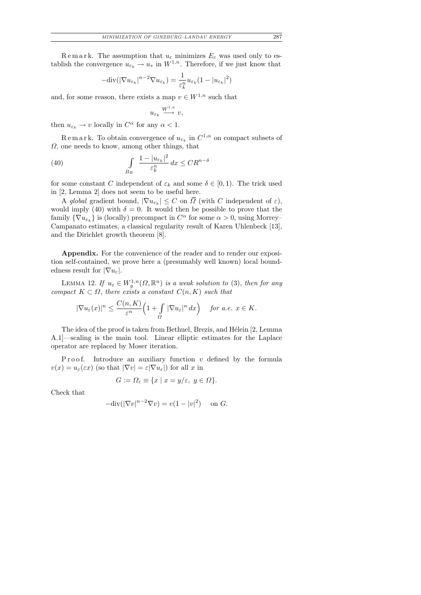Remark. The assumption that  $u_{\varepsilon}$  minimizes  $E_{\varepsilon}$  was used only to establish the convergence  $u_{\varepsilon_k} \to u_*$  in  $W^{1,n}$ . Therefore, if we just know that

$$
-\mathrm{div}(|\nabla u_{\varepsilon_k}|^{n-2}\nabla u_{\varepsilon_k}) = \frac{1}{\varepsilon_k^n} u_{\varepsilon_k} (1 - |u_{\varepsilon_k}|^2)
$$

and, for some reason, there exists a map  $v \in W^{1,n}$  such that

$$
u_{\varepsilon_k}\overset{W^{1,n}}{\longrightarrow}v,
$$

then  $u_{\varepsilon_k} \to v$  locally in  $C^{\alpha}$  for any  $\alpha < 1$ .

Remark. To obtain convergence of  $u_{\varepsilon_k}$  in  $C^{1,\alpha}$  on compact subsets of  $\Omega$ , one needs to know, among other things, that

(40) 
$$
\int_{B_R} \frac{1 - |u_{\varepsilon_k}|^2}{\varepsilon_k^n} dx \leq C R^{n-\delta}
$$

for some constant C independent of  $\varepsilon_k$  and some  $\delta \in [0,1)$ . The trick used in [2, Lemma 2] does not seem to be useful here.

A global gradient bound,  $|\nabla u_{\varepsilon_k}| \leq C$  on  $\Omega$  (with C independent of  $\varepsilon$ ), would imply (40) with  $\delta = 0$ . It would then be possible to prove that the family  $\{\nabla u_{\varepsilon_k}\}\)$  is (locally) precompact in  $C^{\alpha}$  for some  $\alpha > 0$ , using Morrey-Campanato estimates, a classical regularity result of Karen Uhlenbeck [13], and the Dirichlet growth theorem [8].

Appendix. For the convenience of the reader and to render our exposition self-contained, we prove here a (presumably well known) local boundedness result for  $|\nabla u_{\varepsilon}|$ .

LEMMA 12. If  $u_{\varepsilon} \in W^{1,n}_g(\Omega,\mathbb{R}^n)$  is a weak solution to (3), then for any compact  $K \subset \Omega$ , there exists a constant  $C(n, K)$  such that

$$
|\nabla u_{\varepsilon}(x)|^{n} \leq \frac{C(n,K)}{\varepsilon^{n}} \Big(1+\int_{\Omega} |\nabla u_{\varepsilon}|^{n} dx\Big) \quad \text{ for a.e. } x \in K.
$$

The idea of the proof is taken from Bethuel, Brezis, and Hélein [2, Lemma A.1]—scaling is the main tool. Linear elliptic estimates for the Laplace operator are replaced by Moser iteration.

P r o o f. Introduce an auxiliary function  $v$  defined by the formula  $v(x) = u_{\varepsilon}(\varepsilon x)$  (so that  $|\nabla v| = \varepsilon |\nabla u_{\varepsilon}|$ ) for all x in

$$
G := \Omega_{\varepsilon} \equiv \{ x \mid x = y/\varepsilon, \ y \in \Omega \}.
$$

Check that

$$
-\text{div}(|\nabla v|^{n-2}\nabla v) = v(1-|v|^2) \quad \text{on } G.
$$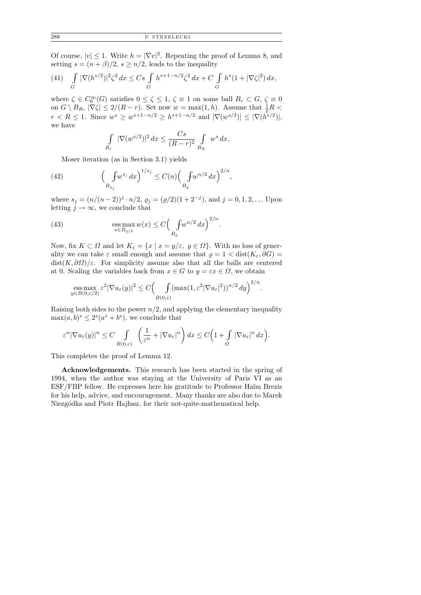Of course,  $|v| \leq 1$ . Write  $h = |\nabla v|^2$ . Repeating the proof of Lemma 8, and setting  $s = (n + \beta)/2$ ,  $s \geq n/2$ , leads to the inequality

(41) 
$$
\int_{G} |\nabla (h^{s/2})|^2 \zeta^2 dx \leq Cs \int_{G} h^{s+1-n/2} \zeta^2 dx + C \int_{G} h^s (1 + |\nabla \zeta|^2) dx,
$$

where  $\zeta \in C_0^{\infty}(G)$  satisfies  $0 \leq \zeta \leq 1$ ,  $\zeta \equiv 1$  on some ball  $B_r \subset G$ ,  $\zeta \equiv 0$ on  $G \setminus B_R$ ,  $|\nabla \zeta| \leq 2/(R-r)$ . Set now  $w = \max(1, h)$ . Assume that  $\frac{1}{2}R <$  $r < R \le 1$ . Since  $w^s \ge w^{s+1-n/2} \ge h^{s+1-n/2}$  and  $|\nabla(w^{s/2})| \le |\nabla(h^{s/2})|$ , we have

$$
\int\limits_{B_r} |\nabla (w^{s/2})|^2 dx \leq \frac{Cs}{(R-r)^2} \int\limits_{B_R} w^s dx.
$$

Moser iteration (as in Section 3.1) yields

(42) 
$$
\left(\int_{B_{\varrho_j}} f w^{s_j} dx\right)^{1/s_j} \leq C(n) \left(\int_{B_{\varrho}} f w^{n/2} dx\right)^{2/n},
$$

where  $s_j = (n/(n-2))^j \cdot n/2$ ,  $\varrho_j = (\varrho/2)(1+2^{-j})$ , and  $j = 0, 1, 2, ...$  Upon letting  $j \to \infty$ , we conclude that

(43) 
$$
\underset{x \in B_{\varrho/2}}{\mathrm{ess}\max} w(x) \le C \Big( \underset{B_{\varrho}}{\int} w^{n/2} dx \Big)^{2/n}.
$$

Now, fix  $K \subset \Omega$  and let  $K_{\varepsilon} = \{x \mid x = y/\varepsilon, y \in \Omega\}$ . With no loss of generality we can take  $\varepsilon$  small enough and assume that  $\rho = 1 < \text{dist}(K_{\varepsilon}, \partial G) =$  $dist(K, \partial \Omega)/\varepsilon$ . For simplicity assume also that all the balls are centered at 0. Scaling the variables back from  $x \in G$  to  $y = \varepsilon x \in \Omega$ , we obtain

ess max 
$$
\varepsilon^2 |\nabla u_{\varepsilon}(y)|^2 \le C \Big(\int_{B(0,\varepsilon)} (\max(1,\varepsilon^2 |\nabla u_{\varepsilon}|^2))^{n/2} dy\Big)^{2/n}
$$
.

Raising both sides to the power  $n/2$ , and applying the elementary inequality  $\max(a, b)^s \leq 2^s(a^s + b^s)$ , we conclude that

$$
\varepsilon^{n} |\nabla u_{\varepsilon}(y)|^{n} \leq C \int\limits_{B(0,\varepsilon)} \left( \frac{1}{\varepsilon^{n}} + |\nabla u_{\varepsilon}|^{n} \right) dx \leq C \Big( 1 + \int\limits_{\Omega} |\nabla u_{\varepsilon}|^{n} dx \Big).
$$

This completes the proof of Lemma 12.

Acknowledgements. This research has been started in the spring of 1994, when the author was staying at the University of Paris VI as an ESF/FBP fellow. He expresses here his gratitude to Professor Haïm Brezis for his help, advice, and encouragement. Many thanks are also due to Marek Niezgódka and Piotr Hajłasz, for their not-quite-mathematical help.